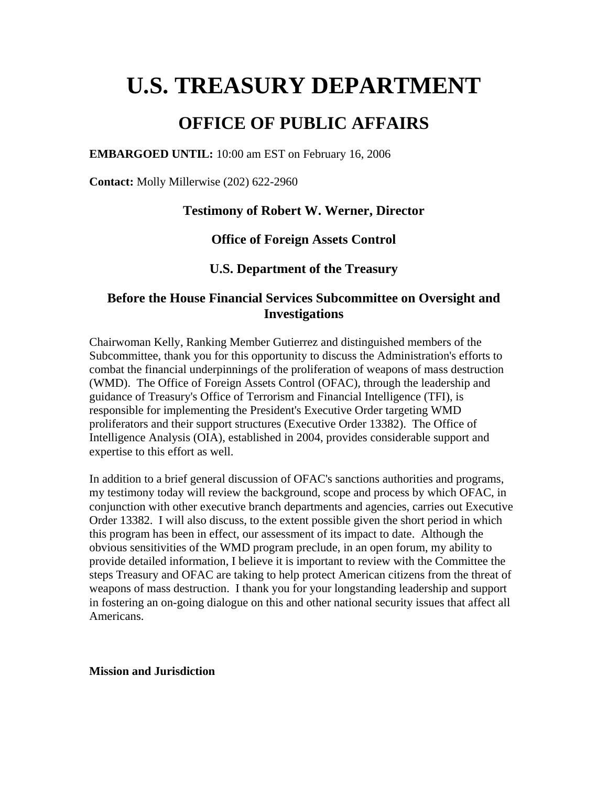# **U.S. TREASURY DEPARTMENT**

# **OFFICE OF PUBLIC AFFAIRS**

**EMBARGOED UNTIL:** 10:00 am EST on February 16, 2006

**Contact:** Molly Millerwise (202) 622-2960

# **Testimony of Robert W. Werner, Director**

# **Office of Foreign Assets Control**

# **U.S. Department of the Treasury**

# **Before the House Financial Services Subcommittee on Oversight and Investigations**

Chairwoman Kelly, Ranking Member Gutierrez and distinguished members of the Subcommittee, thank you for this opportunity to discuss the Administration's efforts to combat the financial underpinnings of the proliferation of weapons of mass destruction (WMD). The Office of Foreign Assets Control (OFAC), through the leadership and guidance of Treasury's Office of Terrorism and Financial Intelligence (TFI), is responsible for implementing the President's Executive Order targeting WMD proliferators and their support structures (Executive Order 13382). The Office of Intelligence Analysis (OIA), established in 2004, provides considerable support and expertise to this effort as well.

In addition to a brief general discussion of OFAC's sanctions authorities and programs, my testimony today will review the background, scope and process by which OFAC, in conjunction with other executive branch departments and agencies, carries out Executive Order 13382. I will also discuss, to the extent possible given the short period in which this program has been in effect, our assessment of its impact to date. Although the obvious sensitivities of the WMD program preclude, in an open forum, my ability to provide detailed information, I believe it is important to review with the Committee the steps Treasury and OFAC are taking to help protect American citizens from the threat of weapons of mass destruction. I thank you for your longstanding leadership and support in fostering an on-going dialogue on this and other national security issues that affect all Americans.

#### **Mission and Jurisdiction**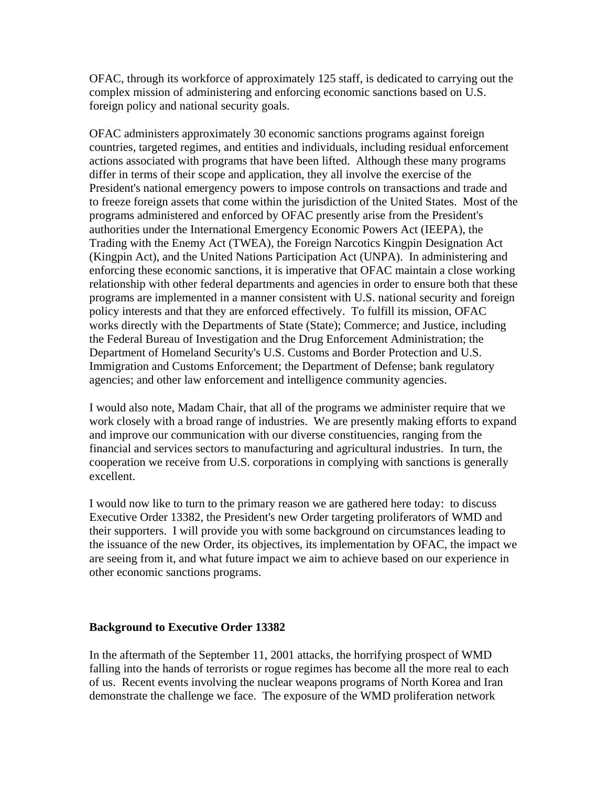OFAC, through its workforce of approximately 125 staff, is dedicated to carrying out the complex mission of administering and enforcing economic sanctions based on U.S. foreign policy and national security goals.

OFAC administers approximately 30 economic sanctions programs against foreign countries, targeted regimes, and entities and individuals, including residual enforcement actions associated with programs that have been lifted. Although these many programs differ in terms of their scope and application, they all involve the exercise of the President's national emergency powers to impose controls on transactions and trade and to freeze foreign assets that come within the jurisdiction of the United States. Most of the programs administered and enforced by OFAC presently arise from the President's authorities under the International Emergency Economic Powers Act (IEEPA), the Trading with the Enemy Act (TWEA), the Foreign Narcotics Kingpin Designation Act (Kingpin Act), and the United Nations Participation Act (UNPA). In administering and enforcing these economic sanctions, it is imperative that OFAC maintain a close working relationship with other federal departments and agencies in order to ensure both that these programs are implemented in a manner consistent with U.S. national security and foreign policy interests and that they are enforced effectively. To fulfill its mission, OFAC works directly with the Departments of State (State); Commerce; and Justice, including the Federal Bureau of Investigation and the Drug Enforcement Administration; the Department of Homeland Security's U.S. Customs and Border Protection and U.S. Immigration and Customs Enforcement; the Department of Defense; bank regulatory agencies; and other law enforcement and intelligence community agencies.

I would also note, Madam Chair, that all of the programs we administer require that we work closely with a broad range of industries. We are presently making efforts to expand and improve our communication with our diverse constituencies, ranging from the financial and services sectors to manufacturing and agricultural industries. In turn, the cooperation we receive from U.S. corporations in complying with sanctions is generally excellent.

I would now like to turn to the primary reason we are gathered here today: to discuss Executive Order 13382, the President's new Order targeting proliferators of WMD and their supporters. I will provide you with some background on circumstances leading to the issuance of the new Order, its objectives, its implementation by OFAC, the impact we are seeing from it, and what future impact we aim to achieve based on our experience in other economic sanctions programs.

#### **Background to Executive Order 13382**

In the aftermath of the September 11, 2001 attacks, the horrifying prospect of WMD falling into the hands of terrorists or rogue regimes has become all the more real to each of us. Recent events involving the nuclear weapons programs of North Korea and Iran demonstrate the challenge we face. The exposure of the WMD proliferation network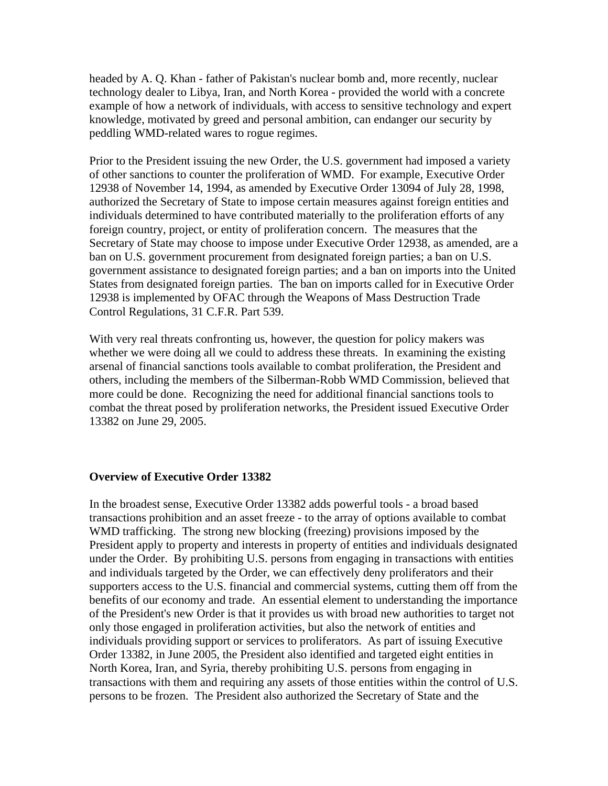headed by A. Q. Khan - father of Pakistan's nuclear bomb and, more recently, nuclear technology dealer to Libya, Iran, and North Korea - provided the world with a concrete example of how a network of individuals, with access to sensitive technology and expert knowledge, motivated by greed and personal ambition, can endanger our security by peddling WMD-related wares to rogue regimes.

Prior to the President issuing the new Order, the U.S. government had imposed a variety of other sanctions to counter the proliferation of WMD. For example, Executive Order 12938 of November 14, 1994, as amended by Executive Order 13094 of July 28, 1998, authorized the Secretary of State to impose certain measures against foreign entities and individuals determined to have contributed materially to the proliferation efforts of any foreign country, project, or entity of proliferation concern. The measures that the Secretary of State may choose to impose under Executive Order 12938, as amended, are a ban on U.S. government procurement from designated foreign parties; a ban on U.S. government assistance to designated foreign parties; and a ban on imports into the United States from designated foreign parties. The ban on imports called for in Executive Order 12938 is implemented by OFAC through the Weapons of Mass Destruction Trade Control Regulations, 31 C.F.R. Part 539.

With very real threats confronting us, however, the question for policy makers was whether we were doing all we could to address these threats. In examining the existing arsenal of financial sanctions tools available to combat proliferation, the President and others, including the members of the Silberman-Robb WMD Commission, believed that more could be done. Recognizing the need for additional financial sanctions tools to combat the threat posed by proliferation networks, the President issued Executive Order 13382 on June 29, 2005.

#### **Overview of Executive Order 13382**

In the broadest sense, Executive Order 13382 adds powerful tools - a broad based transactions prohibition and an asset freeze - to the array of options available to combat WMD trafficking. The strong new blocking (freezing) provisions imposed by the President apply to property and interests in property of entities and individuals designated under the Order. By prohibiting U.S. persons from engaging in transactions with entities and individuals targeted by the Order, we can effectively deny proliferators and their supporters access to the U.S. financial and commercial systems, cutting them off from the benefits of our economy and trade. An essential element to understanding the importance of the President's new Order is that it provides us with broad new authorities to target not only those engaged in proliferation activities, but also the network of entities and individuals providing support or services to proliferators. As part of issuing Executive Order 13382, in June 2005, the President also identified and targeted eight entities in North Korea, Iran, and Syria, thereby prohibiting U.S. persons from engaging in transactions with them and requiring any assets of those entities within the control of U.S. persons to be frozen. The President also authorized the Secretary of State and the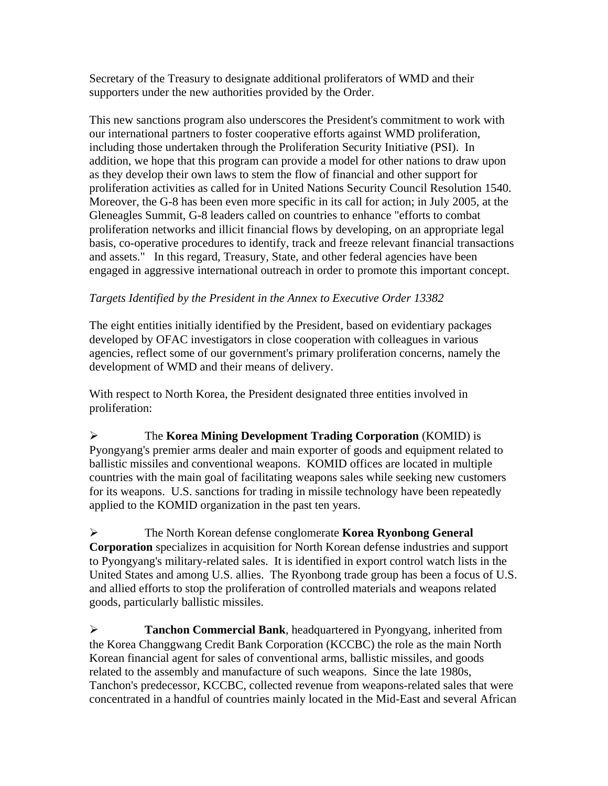Secretary of the Treasury to designate additional proliferators of WMD and their supporters under the new authorities provided by the Order.

This new sanctions program also underscores the President's commitment to work with our international partners to foster cooperative efforts against WMD proliferation, including those undertaken through the Proliferation Security Initiative (PSI). In addition, we hope that this program can provide a model for other nations to draw upon as they develop their own laws to stem the flow of financial and other support for proliferation activities as called for in United Nations Security Council Resolution 1540. Moreover, the G-8 has been even more specific in its call for action; in July 2005, at the Gleneagles Summit, G-8 leaders called on countries to enhance "efforts to combat proliferation networks and illicit financial flows by developing, on an appropriate legal basis, co-operative procedures to identify, track and freeze relevant financial transactions and assets." In this regard, Treasury, State, and other federal agencies have been engaged in aggressive international outreach in order to promote this important concept.

# *Targets Identified by the President in the Annex to Executive Order 13382*

The eight entities initially identified by the President, based on evidentiary packages developed by OFAC investigators in close cooperation with colleagues in various agencies, reflect some of our government's primary proliferation concerns, namely the development of WMD and their means of delivery.

With respect to North Korea, the President designated three entities involved in proliferation:

¾ The **Korea Mining Development Trading Corporation** (KOMID) is Pyongyang's premier arms dealer and main exporter of goods and equipment related to ballistic missiles and conventional weapons. KOMID offices are located in multiple countries with the main goal of facilitating weapons sales while seeking new customers for its weapons. U.S. sanctions for trading in missile technology have been repeatedly applied to the KOMID organization in the past ten years.

¾ The North Korean defense conglomerate **Korea Ryonbong General Corporation** specializes in acquisition for North Korean defense industries and support to Pyongyang's military-related sales. It is identified in export control watch lists in the United States and among U.S. allies. The Ryonbong trade group has been a focus of U.S. and allied efforts to stop the proliferation of controlled materials and weapons related goods, particularly ballistic missiles.

¾ **Tanchon Commercial Bank**, headquartered in Pyongyang, inherited from the Korea Changgwang Credit Bank Corporation (KCCBC) the role as the main North Korean financial agent for sales of conventional arms, ballistic missiles, and goods related to the assembly and manufacture of such weapons. Since the late 1980s, Tanchon's predecessor, KCCBC, collected revenue from weapons-related sales that were concentrated in a handful of countries mainly located in the Mid-East and several African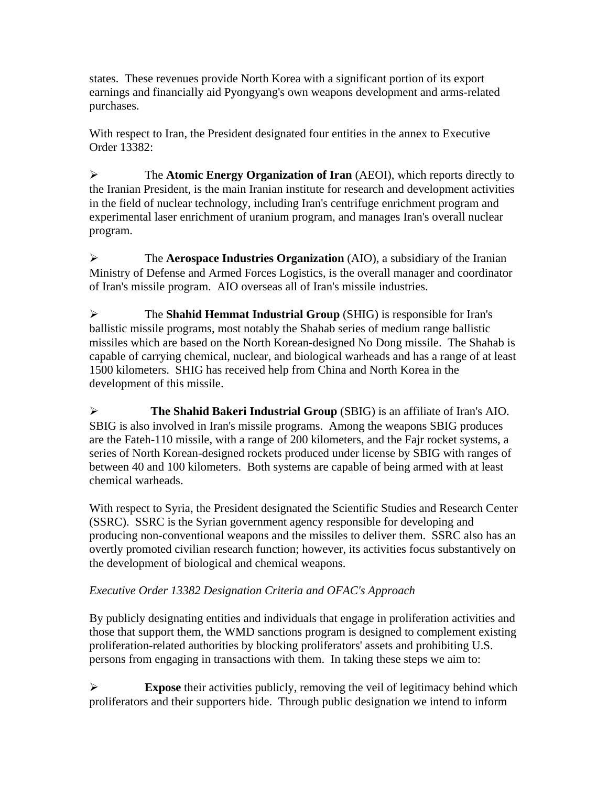states. These revenues provide North Korea with a significant portion of its export earnings and financially aid Pyongyang's own weapons development and arms-related purchases.

With respect to Iran, the President designated four entities in the annex to Executive Order 13382:

¾ The **Atomic Energy Organization of Iran** (AEOI), which reports directly to the Iranian President, is the main Iranian institute for research and development activities in the field of nuclear technology, including Iran's centrifuge enrichment program and experimental laser enrichment of uranium program, and manages Iran's overall nuclear program.

¾ The **Aerospace Industries Organization** (AIO), a subsidiary of the Iranian Ministry of Defense and Armed Forces Logistics, is the overall manager and coordinator of Iran's missile program. AIO overseas all of Iran's missile industries.

¾ The **Shahid Hemmat Industrial Group** (SHIG) is responsible for Iran's ballistic missile programs, most notably the Shahab series of medium range ballistic missiles which are based on the North Korean-designed No Dong missile. The Shahab is capable of carrying chemical, nuclear, and biological warheads and has a range of at least 1500 kilometers. SHIG has received help from China and North Korea in the development of this missile.

¾ **The Shahid Bakeri Industrial Group** (SBIG) is an affiliate of Iran's AIO. SBIG is also involved in Iran's missile programs. Among the weapons SBIG produces are the Fateh-110 missile, with a range of 200 kilometers, and the Fajr rocket systems, a series of North Korean-designed rockets produced under license by SBIG with ranges of between 40 and 100 kilometers. Both systems are capable of being armed with at least chemical warheads.

With respect to Syria, the President designated the Scientific Studies and Research Center (SSRC). SSRC is the Syrian government agency responsible for developing and producing non-conventional weapons and the missiles to deliver them. SSRC also has an overtly promoted civilian research function; however, its activities focus substantively on the development of biological and chemical weapons.

# *Executive Order 13382 Designation Criteria and OFAC's Approach*

By publicly designating entities and individuals that engage in proliferation activities and those that support them, the WMD sanctions program is designed to complement existing proliferation-related authorities by blocking proliferators' assets and prohibiting U.S. persons from engaging in transactions with them. In taking these steps we aim to:

¾ **Expose** their activities publicly, removing the veil of legitimacy behind which proliferators and their supporters hide. Through public designation we intend to inform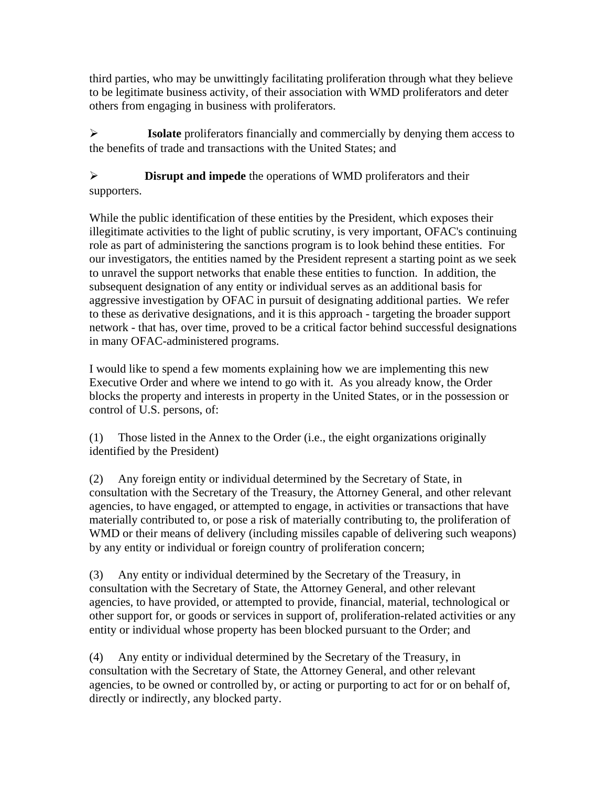third parties, who may be unwittingly facilitating proliferation through what they believe to be legitimate business activity, of their association with WMD proliferators and deter others from engaging in business with proliferators.

¾ **Isolate** proliferators financially and commercially by denying them access to the benefits of trade and transactions with the United States; and

# ¾ **Disrupt and impede** the operations of WMD proliferators and their supporters.

While the public identification of these entities by the President, which exposes their illegitimate activities to the light of public scrutiny, is very important, OFAC's continuing role as part of administering the sanctions program is to look behind these entities. For our investigators, the entities named by the President represent a starting point as we seek to unravel the support networks that enable these entities to function. In addition, the subsequent designation of any entity or individual serves as an additional basis for aggressive investigation by OFAC in pursuit of designating additional parties. We refer to these as derivative designations, and it is this approach - targeting the broader support network - that has, over time, proved to be a critical factor behind successful designations in many OFAC-administered programs.

I would like to spend a few moments explaining how we are implementing this new Executive Order and where we intend to go with it. As you already know, the Order blocks the property and interests in property in the United States, or in the possession or control of U.S. persons, of:

(1) Those listed in the Annex to the Order (i.e., the eight organizations originally identified by the President)

(2) Any foreign entity or individual determined by the Secretary of State, in consultation with the Secretary of the Treasury, the Attorney General, and other relevant agencies, to have engaged, or attempted to engage, in activities or transactions that have materially contributed to, or pose a risk of materially contributing to, the proliferation of WMD or their means of delivery (including missiles capable of delivering such weapons) by any entity or individual or foreign country of proliferation concern;

(3) Any entity or individual determined by the Secretary of the Treasury, in consultation with the Secretary of State, the Attorney General, and other relevant agencies, to have provided, or attempted to provide, financial, material, technological or other support for, or goods or services in support of, proliferation-related activities or any entity or individual whose property has been blocked pursuant to the Order; and

(4) Any entity or individual determined by the Secretary of the Treasury, in consultation with the Secretary of State, the Attorney General, and other relevant agencies, to be owned or controlled by, or acting or purporting to act for or on behalf of, directly or indirectly, any blocked party.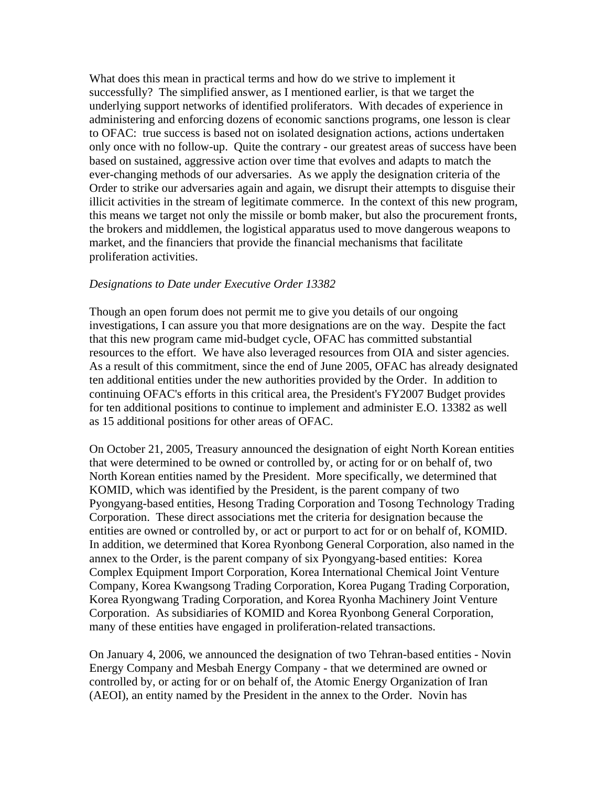What does this mean in practical terms and how do we strive to implement it successfully? The simplified answer, as I mentioned earlier, is that we target the underlying support networks of identified proliferators. With decades of experience in administering and enforcing dozens of economic sanctions programs, one lesson is clear to OFAC: true success is based not on isolated designation actions, actions undertaken only once with no follow-up. Quite the contrary - our greatest areas of success have been based on sustained, aggressive action over time that evolves and adapts to match the ever-changing methods of our adversaries. As we apply the designation criteria of the Order to strike our adversaries again and again, we disrupt their attempts to disguise their illicit activities in the stream of legitimate commerce. In the context of this new program, this means we target not only the missile or bomb maker, but also the procurement fronts, the brokers and middlemen, the logistical apparatus used to move dangerous weapons to market, and the financiers that provide the financial mechanisms that facilitate proliferation activities.

#### *Designations to Date under Executive Order 13382*

Though an open forum does not permit me to give you details of our ongoing investigations, I can assure you that more designations are on the way. Despite the fact that this new program came mid-budget cycle, OFAC has committed substantial resources to the effort. We have also leveraged resources from OIA and sister agencies. As a result of this commitment, since the end of June 2005, OFAC has already designated ten additional entities under the new authorities provided by the Order. In addition to continuing OFAC's efforts in this critical area, the President's FY2007 Budget provides for ten additional positions to continue to implement and administer E.O. 13382 as well as 15 additional positions for other areas of OFAC.

On October 21, 2005, Treasury announced the designation of eight North Korean entities that were determined to be owned or controlled by, or acting for or on behalf of, two North Korean entities named by the President. More specifically, we determined that KOMID, which was identified by the President, is the parent company of two Pyongyang-based entities, Hesong Trading Corporation and Tosong Technology Trading Corporation. These direct associations met the criteria for designation because the entities are owned or controlled by, or act or purport to act for or on behalf of, KOMID. In addition, we determined that Korea Ryonbong General Corporation, also named in the annex to the Order, is the parent company of six Pyongyang-based entities: Korea Complex Equipment Import Corporation, Korea International Chemical Joint Venture Company, Korea Kwangsong Trading Corporation, Korea Pugang Trading Corporation, Korea Ryongwang Trading Corporation, and Korea Ryonha Machinery Joint Venture Corporation. As subsidiaries of KOMID and Korea Ryonbong General Corporation, many of these entities have engaged in proliferation-related transactions.

On January 4, 2006, we announced the designation of two Tehran-based entities - Novin Energy Company and Mesbah Energy Company - that we determined are owned or controlled by, or acting for or on behalf of, the Atomic Energy Organization of Iran (AEOI), an entity named by the President in the annex to the Order. Novin has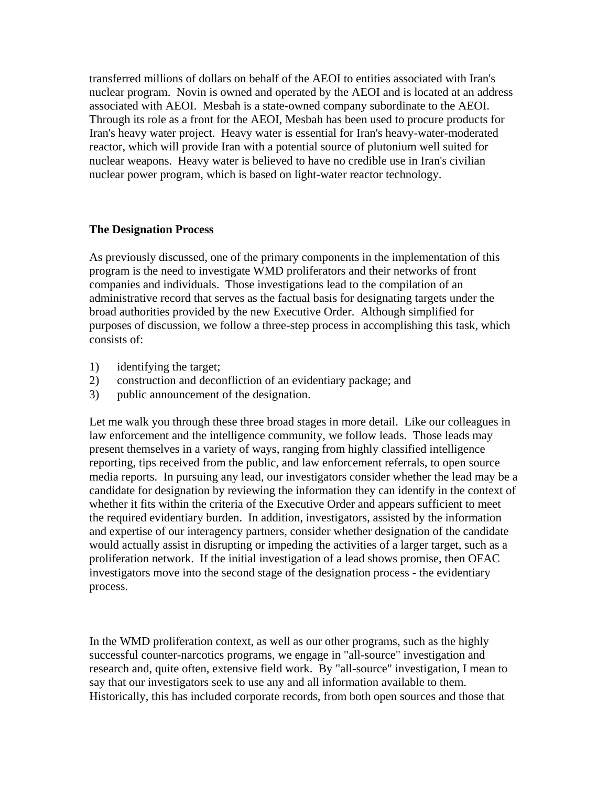transferred millions of dollars on behalf of the AEOI to entities associated with Iran's nuclear program. Novin is owned and operated by the AEOI and is located at an address associated with AEOI. Mesbah is a state-owned company subordinate to the AEOI. Through its role as a front for the AEOI, Mesbah has been used to procure products for Iran's heavy water project. Heavy water is essential for Iran's heavy-water-moderated reactor, which will provide Iran with a potential source of plutonium well suited for nuclear weapons. Heavy water is believed to have no credible use in Iran's civilian nuclear power program, which is based on light-water reactor technology.

#### **The Designation Process**

As previously discussed, one of the primary components in the implementation of this program is the need to investigate WMD proliferators and their networks of front companies and individuals. Those investigations lead to the compilation of an administrative record that serves as the factual basis for designating targets under the broad authorities provided by the new Executive Order. Although simplified for purposes of discussion, we follow a three-step process in accomplishing this task, which consists of:

- 1) identifying the target;
- 2) construction and deconfliction of an evidentiary package; and
- 3) public announcement of the designation.

Let me walk you through these three broad stages in more detail. Like our colleagues in law enforcement and the intelligence community, we follow leads. Those leads may present themselves in a variety of ways, ranging from highly classified intelligence reporting, tips received from the public, and law enforcement referrals, to open source media reports. In pursuing any lead, our investigators consider whether the lead may be a candidate for designation by reviewing the information they can identify in the context of whether it fits within the criteria of the Executive Order and appears sufficient to meet the required evidentiary burden. In addition, investigators, assisted by the information and expertise of our interagency partners, consider whether designation of the candidate would actually assist in disrupting or impeding the activities of a larger target, such as a proliferation network. If the initial investigation of a lead shows promise, then OFAC investigators move into the second stage of the designation process - the evidentiary process.

In the WMD proliferation context, as well as our other programs, such as the highly successful counter-narcotics programs, we engage in "all-source" investigation and research and, quite often, extensive field work. By "all-source" investigation, I mean to say that our investigators seek to use any and all information available to them. Historically, this has included corporate records, from both open sources and those that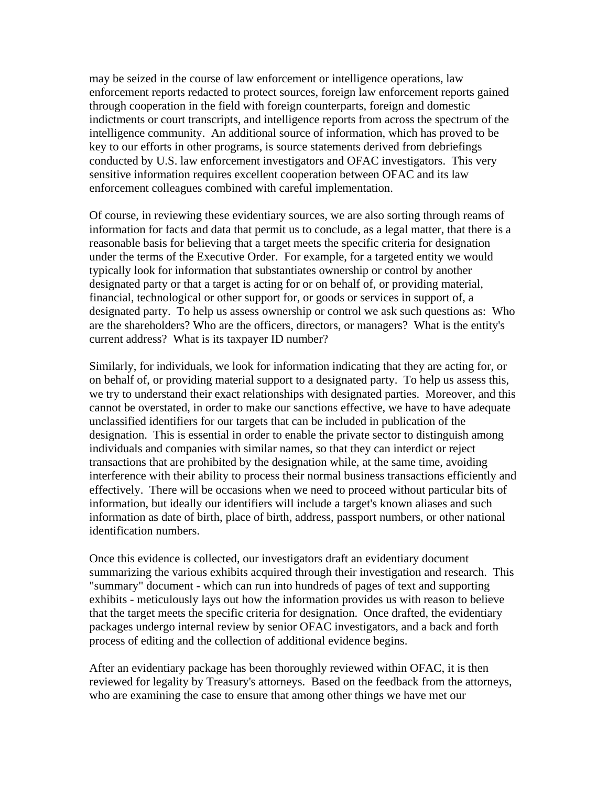may be seized in the course of law enforcement or intelligence operations, law enforcement reports redacted to protect sources, foreign law enforcement reports gained through cooperation in the field with foreign counterparts, foreign and domestic indictments or court transcripts, and intelligence reports from across the spectrum of the intelligence community. An additional source of information, which has proved to be key to our efforts in other programs, is source statements derived from debriefings conducted by U.S. law enforcement investigators and OFAC investigators. This very sensitive information requires excellent cooperation between OFAC and its law enforcement colleagues combined with careful implementation.

Of course, in reviewing these evidentiary sources, we are also sorting through reams of information for facts and data that permit us to conclude, as a legal matter, that there is a reasonable basis for believing that a target meets the specific criteria for designation under the terms of the Executive Order. For example, for a targeted entity we would typically look for information that substantiates ownership or control by another designated party or that a target is acting for or on behalf of, or providing material, financial, technological or other support for, or goods or services in support of, a designated party. To help us assess ownership or control we ask such questions as: Who are the shareholders? Who are the officers, directors, or managers? What is the entity's current address? What is its taxpayer ID number?

Similarly, for individuals, we look for information indicating that they are acting for, or on behalf of, or providing material support to a designated party. To help us assess this, we try to understand their exact relationships with designated parties. Moreover, and this cannot be overstated, in order to make our sanctions effective, we have to have adequate unclassified identifiers for our targets that can be included in publication of the designation. This is essential in order to enable the private sector to distinguish among individuals and companies with similar names, so that they can interdict or reject transactions that are prohibited by the designation while, at the same time, avoiding interference with their ability to process their normal business transactions efficiently and effectively. There will be occasions when we need to proceed without particular bits of information, but ideally our identifiers will include a target's known aliases and such information as date of birth, place of birth, address, passport numbers, or other national identification numbers.

Once this evidence is collected, our investigators draft an evidentiary document summarizing the various exhibits acquired through their investigation and research. This "summary" document - which can run into hundreds of pages of text and supporting exhibits - meticulously lays out how the information provides us with reason to believe that the target meets the specific criteria for designation. Once drafted, the evidentiary packages undergo internal review by senior OFAC investigators, and a back and forth process of editing and the collection of additional evidence begins.

After an evidentiary package has been thoroughly reviewed within OFAC, it is then reviewed for legality by Treasury's attorneys. Based on the feedback from the attorneys, who are examining the case to ensure that among other things we have met our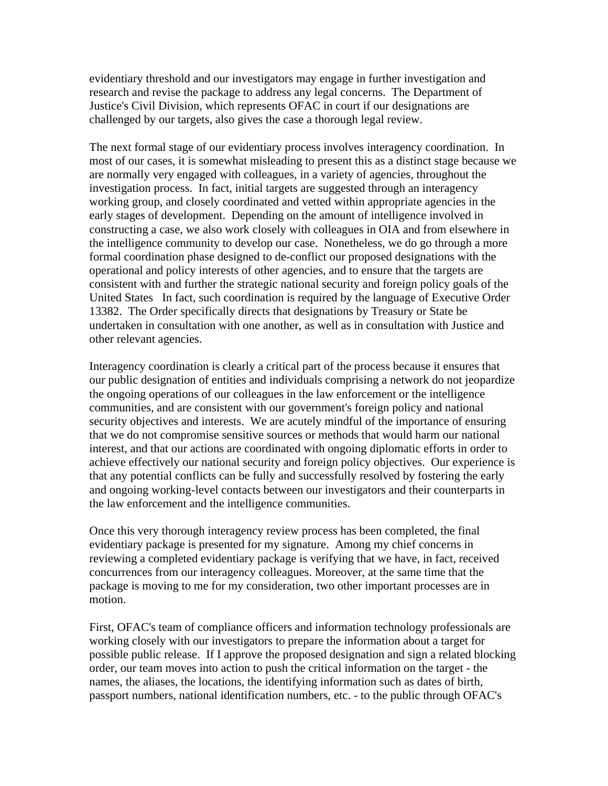evidentiary threshold and our investigators may engage in further investigation and research and revise the package to address any legal concerns. The Department of Justice's Civil Division, which represents OFAC in court if our designations are challenged by our targets, also gives the case a thorough legal review.

The next formal stage of our evidentiary process involves interagency coordination. In most of our cases, it is somewhat misleading to present this as a distinct stage because we are normally very engaged with colleagues, in a variety of agencies, throughout the investigation process. In fact, initial targets are suggested through an interagency working group, and closely coordinated and vetted within appropriate agencies in the early stages of development. Depending on the amount of intelligence involved in constructing a case, we also work closely with colleagues in OIA and from elsewhere in the intelligence community to develop our case. Nonetheless, we do go through a more formal coordination phase designed to de-conflict our proposed designations with the operational and policy interests of other agencies, and to ensure that the targets are consistent with and further the strategic national security and foreign policy goals of the United States In fact, such coordination is required by the language of Executive Order 13382. The Order specifically directs that designations by Treasury or State be undertaken in consultation with one another, as well as in consultation with Justice and other relevant agencies.

Interagency coordination is clearly a critical part of the process because it ensures that our public designation of entities and individuals comprising a network do not jeopardize the ongoing operations of our colleagues in the law enforcement or the intelligence communities, and are consistent with our government's foreign policy and national security objectives and interests. We are acutely mindful of the importance of ensuring that we do not compromise sensitive sources or methods that would harm our national interest, and that our actions are coordinated with ongoing diplomatic efforts in order to achieve effectively our national security and foreign policy objectives. Our experience is that any potential conflicts can be fully and successfully resolved by fostering the early and ongoing working-level contacts between our investigators and their counterparts in the law enforcement and the intelligence communities.

Once this very thorough interagency review process has been completed, the final evidentiary package is presented for my signature. Among my chief concerns in reviewing a completed evidentiary package is verifying that we have, in fact, received concurrences from our interagency colleagues. Moreover, at the same time that the package is moving to me for my consideration, two other important processes are in motion.

First, OFAC's team of compliance officers and information technology professionals are working closely with our investigators to prepare the information about a target for possible public release. If I approve the proposed designation and sign a related blocking order, our team moves into action to push the critical information on the target - the names, the aliases, the locations, the identifying information such as dates of birth, passport numbers, national identification numbers, etc. - to the public through OFAC's